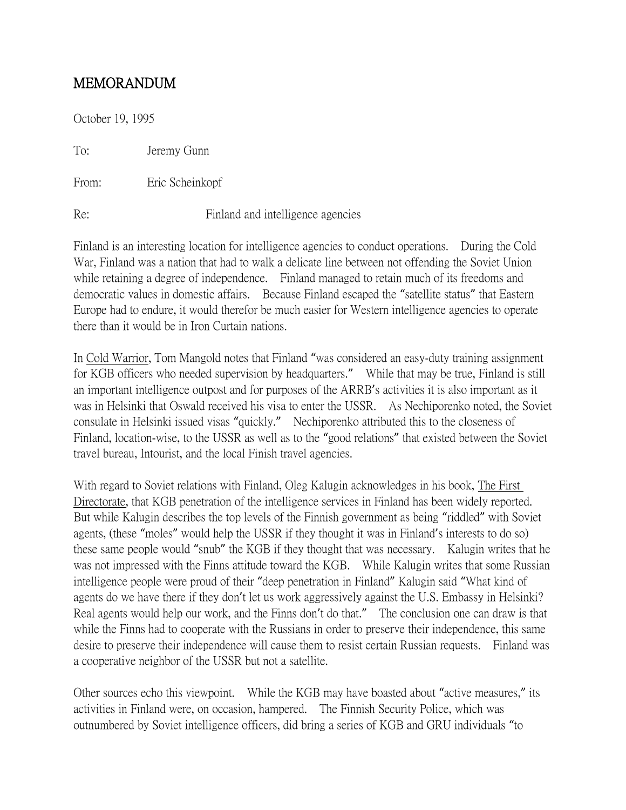## MEMORANDUM

October 19, 1995

To: Jeremy Gunn

From: Eric Scheinkopf

Re: Finland and intelligence agencies

Finland is an interesting location for intelligence agencies to conduct operations. During the Cold War, Finland was a nation that had to walk a delicate line between not offending the Soviet Union while retaining a degree of independence. Finland managed to retain much of its freedoms and democratic values in domestic affairs. Because Finland escaped the "satellite status" that Eastern Europe had to endure, it would therefor be much easier for Western intelligence agencies to operate there than it would be in Iron Curtain nations.

In Cold Warrior, Tom Mangold notes that Finland "was considered an easy-duty training assignment for KGB officers who needed supervision by headquarters." While that may be true, Finland is still an important intelligence outpost and for purposes of the ARRB's activities it is also important as it was in Helsinki that Oswald received his visa to enter the USSR. As Nechiporenko noted, the Soviet consulate in Helsinki issued visas "quickly." Nechiporenko attributed this to the closeness of Finland, location-wise, to the USSR as well as to the "good relations" that existed between the Soviet travel bureau, Intourist, and the local Finish travel agencies.

With regard to Soviet relations with Finland, Oleg Kalugin acknowledges in his book, The First Directorate, that KGB penetration of the intelligence services in Finland has been widely reported. But while Kalugin describes the top levels of the Finnish government as being "riddled" with Soviet agents, (these "moles" would help the USSR if they thought it was in Finland's interests to do so) these same people would "snub" the KGB if they thought that was necessary. Kalugin writes that he was not impressed with the Finns attitude toward the KGB. While Kalugin writes that some Russian intelligence people were proud of their "deep penetration in Finland" Kalugin said "What kind of agents do we have there if they don't let us work aggressively against the U.S. Embassy in Helsinki? Real agents would help our work, and the Finns don't do that." The conclusion one can draw is that while the Finns had to cooperate with the Russians in order to preserve their independence, this same desire to preserve their independence will cause them to resist certain Russian requests. Finland was a cooperative neighbor of the USSR but not a satellite.

Other sources echo this viewpoint. While the KGB may have boasted about "active measures," its activities in Finland were, on occasion, hampered. The Finnish Security Police, which was outnumbered by Soviet intelligence officers, did bring a series of KGB and GRU individuals "to